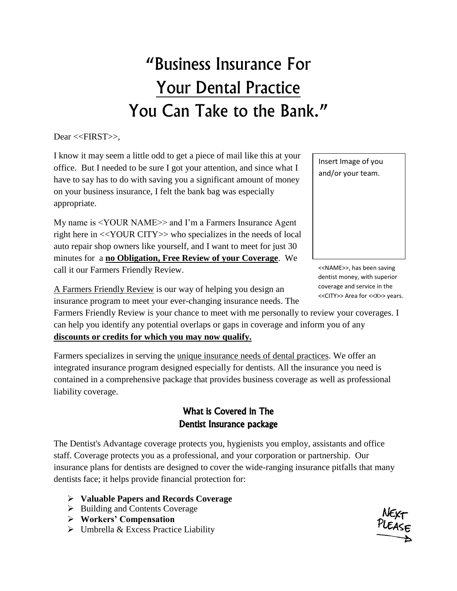## "Business Insurance For Your Dental Practice You Can Take to the Bank."

Dear <<FIRST>>.

I know it may seem a little odd to get a piece of mail like this at your office. But I needed to be sure I got your attention, and since what I have to say has to do with saving you a significant amount of money on your business insurance, I felt the bank bag was especially appropriate.

My name is <YOUR NAME>> and I'm a Farmers Insurance Agent right here in <<YOUR CITY>> who specializes in the needs of local auto repair shop owners like yourself, and I want to meet for just 30 minutes for a **no Obligation, Free Review of your Coverage**. We call it our Farmers Friendly Review.

Insert Image of you and/or your team.

<<NAME>>, has been saving dentist money, with superior coverage and service in the <<CITY>> Area for <<X>> years.

A Farmers Friendly Review is our way of helping you design an insurance program to meet your ever-changing insurance needs. The

Farmers Friendly Review is your chance to meet with me personally to review your coverages. I can help you identify any potential overlaps or gaps in coverage and inform you of any **discounts or credits for which you may now qualify.**

Farmers specializes in serving the unique insurance needs of dental practices. We offer an integrated insurance program designed especially for dentists. All the insurance you need is contained in a comprehensive package that provides business coverage as well as professional liability coverage.

## What is Covered in The Dentist Insurance package

The Dentist's Advantage coverage protects you, hygienists you employ, assistants and office staff. Coverage protects you as a professional, and your corporation or partnership. Our insurance plans for dentists are designed to cover the wide-ranging insurance pitfalls that many dentists face; it helps provide financial protection for:

- **Valuable Papers and Records Coverage**
- $\triangleright$  Building and Contents Coverage
- **Workers' Compensation**
- $\triangleright$  Umbrella & Excess Practice Liability